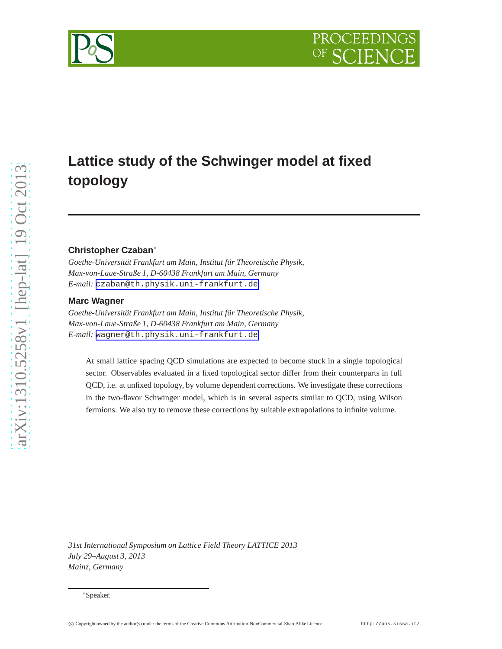# **Lattice study of the Schwinger model at fixed topology**

## **Christopher Czaban**∗

*Goethe-Universität Frankfurt am Main, Institut für Theoretische Physik, Max-von-Laue-Straße 1, D-60438 Frankfurt am Main, Germany E-mail:* [czaban@th.physik.uni-frankfurt.de](mailto:czaban@th.physik.uni-frankfurt.de)

## **Marc Wagner**

*Goethe-Universität Frankfurt am Main, Institut für Theoretische Physik, Max-von-Laue-Straße 1, D-60438 Frankfurt am Main, Germany E-mail:* [wagner@th.physik.uni-frankfurt.de](mailto:wagner@th.physik.uni-frankfurt.de)

At small lattice spacing QCD simulations are expected to become stuck in a single topological sector. Observables evaluated in a fixed topological sector differ from their counterparts in full QCD, i.e. at unfixed topology, by volume dependent corrections. We investigate these corrections in the two-flavor Schwinger model, which is in several aspects similar to QCD, using Wilson fermions. We also try to remove these corrections by suitable extrapolations to infinite volume.

*31st International Symposium on Lattice Field Theory LATTICE 2013 July 29–August 3, 2013 Mainz, Germany*



<sup>∗</sup>Speaker.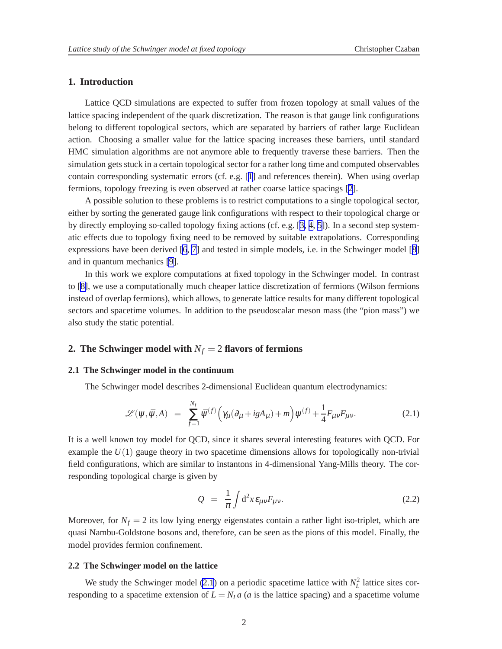## **1. Introduction**

Lattice QCD simulations are expected to suffer from frozen topology at small values of the lattice spacing independent of the quark discretization. The reason is that gauge link configurations belong to different topological sectors, which are separated by barriers of rather large Euclidean action. Choosing a smaller value for the lattice spacing increases these barriers, until standard HMC simulation algorithms are not anymore able to frequently traverse these barriers. Then the simulation gets stuck in a certain topological sector for a rather long time and computed observables contain corresponding systematic errors (cf. e.g. [[1](#page-6-0)] and references therein). When using overlap fermions, topology freezing is even observed at rather coarse lattice spacings [\[2](#page-6-0)].

A possible solution to these problems is to restrict computations to a single topological sector, either by sorting the generated gauge link configurations with respect to their topological charge or by directly employing so-called topology fixing actions (cf. e.g. [[3](#page-6-0), [4, 5\]](#page-6-0)). In a second step systematic effects due to topology fixing need to be removed by suitable extrapolations. Corresponding expressions have been derived [[6](#page-6-0), [7\]](#page-6-0) and tested in simple models, i.e. in the Schwinger model [[8](#page-6-0)] and in quantum mechanics [\[9\]](#page-6-0).

In this work we explore computations at fixed topology in the Schwinger model. In contrast to [\[8\]](#page-6-0), we use a computationally much cheaper lattice discretization of fermions (Wilson fermions instead of overlap fermions), which allows, to generate lattice results for many different topological sectors and spacetime volumes. In addition to the pseudoscalar meson mass (the "pion mass") we also study the static potential.

## **2. The Schwinger model with** *N<sup>f</sup>* = 2 **flavors of fermions**

#### **2.1 The Schwinger model in the continuum**

The Schwinger model describes 2-dimensional Euclidean quantum electrodynamics:

$$
\mathscr{L}(\psi,\bar{\psi},A) = \sum_{f=1}^{N_f} \bar{\psi}^{(f)}\Big(\gamma_\mu(\partial_\mu + igA_\mu) + m\Big)\psi^{(f)} + \frac{1}{4}F_{\mu\nu}F_{\mu\nu}.
$$
 (2.1)

It is a well known toy model for QCD, since it shares several interesting features with QCD. For example the  $U(1)$  gauge theory in two spacetime dimensions allows for topologically non-trivial field configurations, which are similar to instantons in 4-dimensional Yang-Mills theory. The corresponding topological charge is given by

$$
Q = \frac{1}{\pi} \int d^2 x \varepsilon_{\mu\nu} F_{\mu\nu}.
$$
 (2.2)

Moreover, for  $N_f = 2$  its low lying energy eigenstates contain a rather light iso-triplet, which are quasi Nambu-Goldstone bosons and, therefore, can be seen as the pions of this model. Finally, the model provides fermion confinement.

#### **2.2 The Schwinger model on the lattice**

We study the Schwinger model (2.1) on a periodic spacetime lattice with  $N_L^2$  lattice sites corresponding to a spacetime extension of  $L = N_L a$  (*a* is the lattice spacing) and a spacetime volume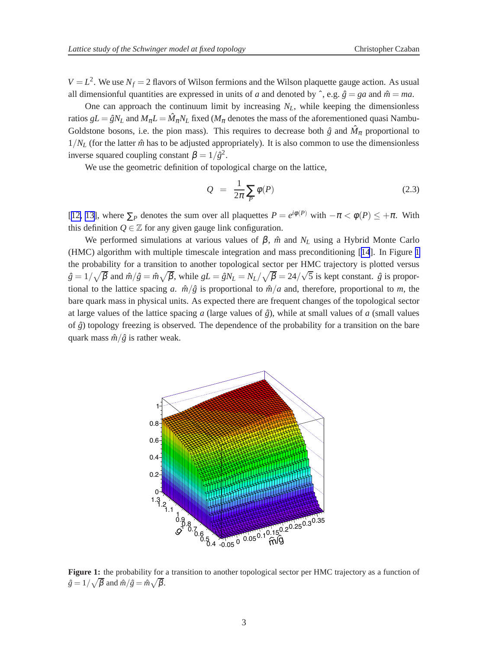<span id="page-2-0"></span> $V = L<sup>2</sup>$ . We use  $N_f = 2$  flavors of Wilson fermions and the Wilson plaquette gauge action. As usual all dimensionful quantities are expressed in units of *a* and denoted by  $\hat{ }$ , e.g.  $\hat{g} = ga$  and  $\hat{m} = ma$ .

One can approach the continuum limit by increasing *NL*, while keeping the dimensionless ratios  $gL = \hat{g}N_L$  and  $M_{\pi}L = \hat{M}_{\pi}N_L$  fixed ( $M_{\pi}$  denotes the mass of the aforementioned quasi Nambu-Goldstone bosons, i.e. the pion mass). This requires to decrease both  $\hat{g}$  and  $\hat{M}_{\pi}$  proportional to  $1/N_L$  (for the latter  $\hat{m}$  has to be adjusted appropriately). It is also common to use the dimensionless inverse squared coupling constant  $\beta = 1/\hat{g}^2$ .

We use the geometric definition of topological charge on the lattice,

$$
Q = \frac{1}{2\pi} \sum_{P} \phi(P) \tag{2.3}
$$

[[12, 13\]](#page-6-0), where  $\sum_{P}$  denotes the sum over all plaquettes  $P = e^{i\phi(P)}$  with  $-\pi < \phi(P) \leq +\pi$ . With this definition  $Q \in \mathbb{Z}$  for any given gauge link configuration.

We performed simulations at various values of  $\beta$ ,  $\hat{m}$  and  $N_L$  using a Hybrid Monte Carlo (HMC) algorithm with multiple timescale integration and mass preconditioning [[14](#page-6-0)]. In Figure 1 the probability for a transition to another topological sector per HMC trajectory is plotted versus  $\hat{g} = 1/\sqrt{\beta}$  and  $\hat{m}/\hat{g} = \hat{m}\sqrt{\beta}$ , while  $gL = \hat{g}N_L = N_L/\sqrt{\beta} = 24/\sqrt{5}$  is kept constant.  $\hat{g}$  is proportional to the lattice spacing *a*.  $\hat{m}/\hat{g}$  is proportional to  $\hat{m}/a$  and, therefore, proportional to *m*, the bare quark mass in physical units. As expected there are frequent changes of the topological sector at large values of the lattice spacing *a* (large values of  $\hat{g}$ ), while at small values of *a* (small values of  $\hat{g}$ ) topology freezing is observed. The dependence of the probability for a transition on the bare quark mass  $\hat{m}/\hat{g}$  is rather weak.



**Figure 1:** the probability for a transition to another topological sector per HMC trajectory as a function of  $\hat{g} = 1/\sqrt{\beta}$  and  $\hat{m}/\hat{g} = \hat{m}\sqrt{\beta}$ .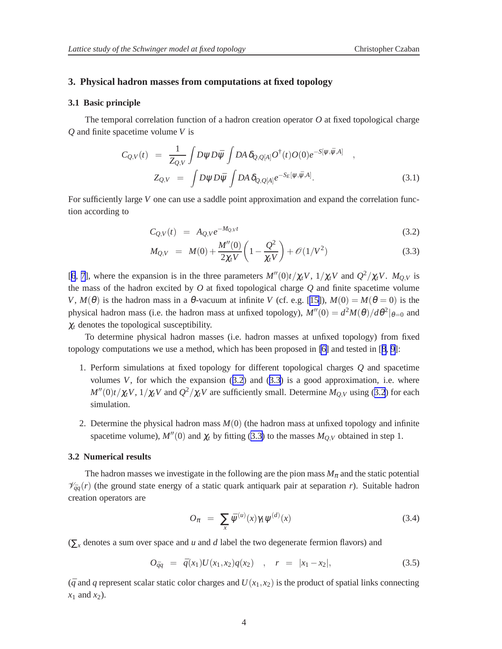#### <span id="page-3-0"></span>**3. Physical hadron masses from computations at fixed topology**

#### **3.1 Basic principle**

The temporal correlation function of a hadron creation operator *O* at fixed topological charge *Q* and finite spacetime volume *V* is

$$
C_{Q,V}(t) = \frac{1}{Z_{Q,V}} \int D\psi D\bar{\psi} \int DA \,\delta_{Q,Q[A]} O^{\dagger}(t) O(0) e^{-S[\psi,\bar{\psi},A]} ,
$$
  

$$
Z_{Q,V} = \int D\psi D\bar{\psi} \int DA \,\delta_{Q,Q[A]} e^{-S_E[\psi,\bar{\psi},A]} .
$$
 (3.1)

For sufficiently large *V* one can use a saddle point approximation and expand the correlation function according to

$$
C_{Q,V}(t) = A_{Q,V}e^{-M_{Q,V}t}
$$
\n(3.2)

$$
M_{Q,V} = M(0) + \frac{M''(0)}{2\chi_t V} \left(1 - \frac{Q^2}{\chi_t V}\right) + \mathcal{O}(1/V^2)
$$
\n(3.3)

[[6](#page-6-0), [7](#page-6-0)], where the expansion is in the three parameters  $M''(0)t/\chi_t V$ ,  $1/\chi_t V$  and  $Q^2/\chi_t V$ .  $M_{Q,V}$  is the mass of the hadron excited by *O* at fixed topological charge *Q* and finite spacetime volume *V*,  $M(\theta)$  is the hadron mass in a  $\theta$ -vacuum at infinite *V* (cf. e.g. [\[15\]](#page-6-0)),  $M(0) = M(\theta = 0)$  is the physical hadron mass (i.e. the hadron mass at unfixed topology),  $M''(0) = d^2M(\theta)/d\theta^2|_{\theta=0}$  and  $\chi_t$  denotes the topological susceptibility.

To determine physical hadron masses (i.e. hadron masses at unfixed topology) from fixed topology computations we use a method, which has been proposed in [\[6\]](#page-6-0) and tested in [[8](#page-6-0), [9](#page-6-0)]:

- 1. Perform simulations at fixed topology for different topological charges *Q* and spacetime volumes  $V$ , for which the expansion  $(3.2)$  and  $(3.3)$  is a good approximation, i.e. where  $M''(0)t/\chi_t V$ ,  $1/\chi_t V$  and  $Q^2/\chi_t V$  are sufficiently small. Determine  $M_{Q,V}$  using (3.2) for each simulation.
- 2. Determine the physical hadron mass  $M(0)$  (the hadron mass at unfixed topology and infinite spacetime volume),  $M''(0)$  and  $\chi_t$  by fitting (3.3) to the masses  $M_{Q,V}$  obtained in step 1.

#### **3.2 Numerical results**

The hadron masses we investigate in the following are the pion mass  $M_{\pi}$  and the static potential  $\mathcal{V}_{\bar{q}q}(r)$  (the ground state energy of a static quark antiquark pair at separation *r*). Suitable hadron creation operators are

$$
O_{\pi} = \sum_{x} \bar{\psi}^{(u)}(x) \gamma_1 \psi^{(d)}(x) \tag{3.4}
$$

(∑*<sup>x</sup>* denotes a sum over space and *u* and *d* label the two degenerate fermion flavors) and

$$
O_{\bar{q}q} = \bar{q}(x_1)U(x_1,x_2)q(x_2) \quad , \quad r = |x_1 - x_2|, \tag{3.5}
$$

 $(\bar{q}$  and *q* represent scalar static color charges and  $U(x_1, x_2)$  is the product of spatial links connecting *x*<sup>1</sup> and *x*2).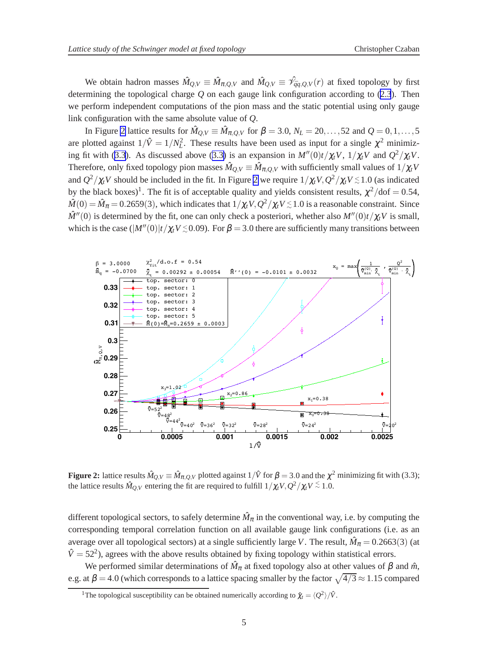<span id="page-4-0"></span>We obtain hadron masses  $\hat{M}_{Q,V} \equiv \hat{M}_{\pi,Q,V}$  and  $\hat{M}_{Q,V} \equiv \hat{\mathcal{V}}_{\bar{q}q,Q,V}(r)$  at fixed topology by first determining the topological charge *Q* on each gauge link configuration according to ([2.3](#page-2-0)). Then we perform independent computations of the pion mass and the static potential using only gauge link configuration with the same absolute value of *Q*.

In Figure 2 lattice results for  $\hat{M}_{Q,V} \equiv \hat{M}_{\pi,Q,V}$  for  $\beta = 3.0$ ,  $N_L = 20, \ldots, 52$  and  $Q = 0, 1, \ldots, 52$ are plotted against  $1/\hat{V} = 1/N_L^2$ . These results have been used as input for a single  $\chi^2$  minimiz-ing fit with ([3.3](#page-3-0)). As discussed above ([3.3\)](#page-3-0) is an expansion in  $M''(0)t/\chi_t V$ ,  $1/\chi_t V$  and  $Q^2/\chi_t V$ . Therefore, only fixed topology pion masses  $\hat{M}_{Q,V} \equiv \hat{M}_{\pi,Q,V}$  with sufficiently small values of  $1/\chi_t V$ and  $Q^2/\chi_t V$  should be included in the fit. In Figure 2 we require  $1/\chi_t V$ ,  $Q^2/\chi_t V \le 1.0$  (as indicated by the black boxes)<sup>1</sup>. The fit is of acceptable quality and yields consistent results,  $\chi^2/dof = 0.54$ ,  $\hat{M}(0) = \hat{M}_{\pi} = 0.2659(3)$ , which indicates that  $1/\chi_t V$ ,  $Q^2/\chi_t V \lesssim 1.0$  is a reasonable constraint. Since  $\hat{M}''(0)$  is determined by the fit, one can only check a posteriori, whether also  $M''(0)t/\chi_t V$  is small, which is the case  $(|M''(0)|t/\chi_t V \le 0.09)$ . For  $\beta = 3.0$  there are sufficiently many transitions between



**Figure 2:** lattice results  $\hat{M}_{Q,V} \equiv \hat{M}_{\pi,Q,V}$  plotted against  $1/\hat{V}$  for  $\beta = 3.0$  and the  $\chi^2$  minimizing fit with (3.3); the lattice results  $\hat{M}_{Q,V}$  entering the fit are required to fulfill  $1/\chi_t V, \hat{Q}^2/\chi_t V \stackrel{<}{\scriptstyle \sim} 1.0.$ 

different topological sectors, to safely determine  $\hat{M}_{\pi}$  in the conventional way, i.e. by computing the corresponding temporal correlation function on all available gauge link configurations (i.e. as an average over all topological sectors) at a single sufficiently large *V*. The result,  $\hat{M}_{\pi} = 0.2663(3)$  (at  $\hat{V}$  = 52<sup>2</sup>), agrees with the above results obtained by fixing topology within statistical errors.

We performed similar determinations of  $\hat{M}_{\pi}$  at fixed topology also at other values of  $\beta$  and  $\hat{m}$ , e.g. at  $\beta = 4.0$  (which corresponds to a lattice spacing smaller by the factor  $\sqrt{4/3} \approx 1.15$  compared

<sup>&</sup>lt;sup>1</sup>The topological susceptibility can be obtained numerically according to  $\hat{\chi}_t = \langle Q^2 \rangle / \hat{V}$ .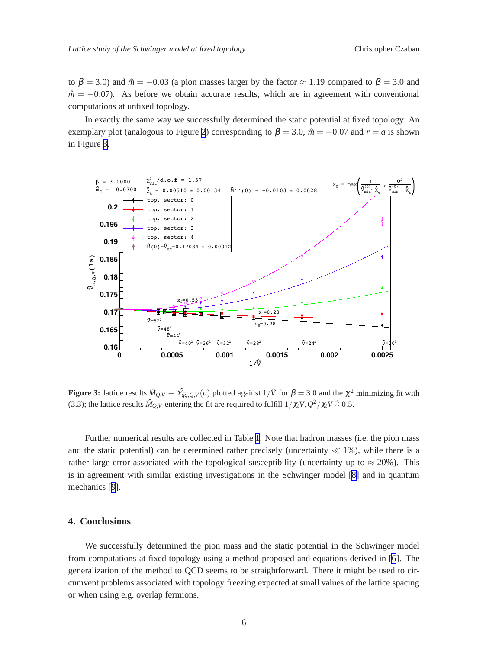to  $\beta = 3.0$ ) and  $\hat{m} = -0.03$  (a pion masses larger by the factor  $\approx 1.19$  compared to  $\beta = 3.0$  and  $m<sup>2</sup> = -0.07$ ). As before we obtain accurate results, which are in agreement with conventional computations at unfixed topology.

In exactly the same way we successfully determined the static potential at fixed topology. An exemplary plot (analogous to Figure [2](#page-4-0)) corresponding to  $\beta = 3.0$ ,  $\hat{m} = -0.07$  and  $r = a$  is shown in Figure 3.



**Figure 3:** lattice results  $\hat{M}_{Q,V} \equiv \hat{\mathcal{V}}_{\hat{q}q,Q,V}(a)$  plotted against  $1/\hat{V}$  for  $\beta = 3.0$  and the  $\chi^2$  minimizing fit with (3.3); the lattice results  $\hat{M}_{Q,V}$  entering the fit are required to fulfill  $1/\chi_t V, Q^2/\chi_t V \stackrel{\textstyle<}{\scriptstyle\sim} 0.5.$ 

Further numerical results are collected in Table [1](#page-6-0). Note that hadron masses (i.e. the pion mass and the static potential) can be determined rather precisely (uncertainty  $\ll 1\%$ ), while there is a rather large error associated with the topological susceptibility (uncertainty up to  $\approx 20\%$ ). This is in agreement with similar existing investigations in the Schwinger model [\[8\]](#page-6-0) and in quantum mechanics [[9](#page-6-0)].

### **4. Conclusions**

We successfully determined the pion mass and the static potential in the Schwinger model from computations at fixed topology using a method proposed and equations derived in [[6](#page-6-0)]. The generalization of the method to QCD seems to be straightforward. There it might be used to circumvent problems associated with topology freezing expected at small values of the lattice spacing or when using e.g. overlap fermions.